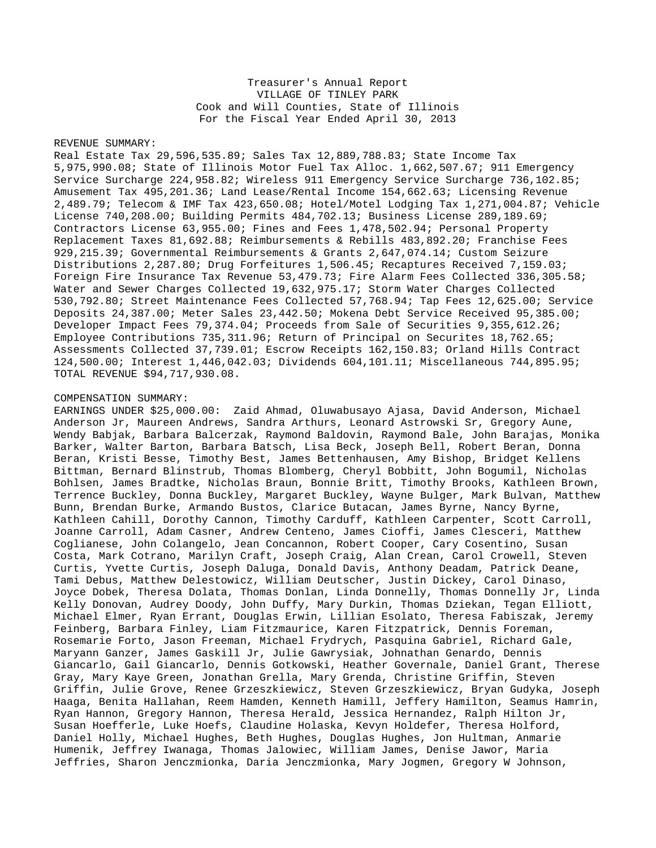## Treasurer's Annual Report VILLAGE OF TINLEY PARK Cook and Will Counties, State of Illinois For the Fiscal Year Ended April 30, 2013

## REVENUE SUMMARY:

Real Estate Tax 29,596,535.89; Sales Tax 12,889,788.83; State Income Tax 5,975,990.08; State of Illinois Motor Fuel Tax Alloc. 1,662,507.67; 911 Emergency Service Surcharge 224,958.82; Wireless 911 Emergency Service Surcharge 736,102.85; Amusement Tax 495,201.36; Land Lease/Rental Income 154,662.63; Licensing Revenue 2,489.79; Telecom & IMF Tax 423,650.08; Hotel/Motel Lodging Tax 1,271,004.87; Vehicle License 740,208.00; Building Permits 484,702.13; Business License 289,189.69; Contractors License 63,955.00; Fines and Fees 1,478,502.94; Personal Property Replacement Taxes 81,692.88; Reimbursements & Rebills 483,892.20; Franchise Fees 929,215.39; Governmental Reimbursements & Grants 2,647,074.14; Custom Seizure Distributions 2,287.80; Drug Forfeitures 1,506.45; Recaptures Received 7,159.03; Foreign Fire Insurance Tax Revenue 53,479.73; Fire Alarm Fees Collected 336,305.58; Water and Sewer Charges Collected 19,632,975.17; Storm Water Charges Collected 530,792.80; Street Maintenance Fees Collected 57,768.94; Tap Fees 12,625.00; Service Deposits 24,387.00; Meter Sales 23,442.50; Mokena Debt Service Received 95,385.00; Developer Impact Fees 79,374.04; Proceeds from Sale of Securities 9,355,612.26; Employee Contributions 735,311.96; Return of Principal on Securites 18,762.65; Assessments Collected 37,739.01; Escrow Receipts 162,150.83; Orland Hills Contract 124,500.00; Interest 1,446,042.03; Dividends 604,101.11; Miscellaneous 744,895.95; TOTAL REVENUE \$94,717,930.08.

## COMPENSATION SUMMARY:

EARNINGS UNDER \$25,000.00: Zaid Ahmad, Oluwabusayo Ajasa, David Anderson, Michael Anderson Jr, Maureen Andrews, Sandra Arthurs, Leonard Astrowski Sr, Gregory Aune, Wendy Babjak, Barbara Balcerzak, Raymond Baldovin, Raymond Bale, John Barajas, Monika Barker, Walter Barton, Barbara Batsch, Lisa Beck, Joseph Bell, Robert Beran, Donna Beran, Kristi Besse, Timothy Best, James Bettenhausen, Amy Bishop, Bridget Kellens Bittman, Bernard Blinstrub, Thomas Blomberg, Cheryl Bobbitt, John Bogumil, Nicholas Bohlsen, James Bradtke, Nicholas Braun, Bonnie Britt, Timothy Brooks, Kathleen Brown, Terrence Buckley, Donna Buckley, Margaret Buckley, Wayne Bulger, Mark Bulvan, Matthew Bunn, Brendan Burke, Armando Bustos, Clarice Butacan, James Byrne, Nancy Byrne, Kathleen Cahill, Dorothy Cannon, Timothy Carduff, Kathleen Carpenter, Scott Carroll, Joanne Carroll, Adam Casner, Andrew Centeno, James Cioffi, James Clesceri, Matthew Coglianese, John Colangelo, Jean Concannon, Robert Cooper, Cary Cosentino, Susan Costa, Mark Cotrano, Marilyn Craft, Joseph Craig, Alan Crean, Carol Crowell, Steven Curtis, Yvette Curtis, Joseph Daluga, Donald Davis, Anthony Deadam, Patrick Deane, Tami Debus, Matthew Delestowicz, William Deutscher, Justin Dickey, Carol Dinaso, Joyce Dobek, Theresa Dolata, Thomas Donlan, Linda Donnelly, Thomas Donnelly Jr, Linda Kelly Donovan, Audrey Doody, John Duffy, Mary Durkin, Thomas Dziekan, Tegan Elliott, Michael Elmer, Ryan Errant, Douglas Erwin, Lillian Esolato, Theresa Fabiszak, Jeremy Feinberg, Barbara Finley, Liam Fitzmaurice, Karen Fitzpatrick, Dennis Foreman, Rosemarie Forto, Jason Freeman, Michael Frydrych, Pasquina Gabriel, Richard Gale, Maryann Ganzer, James Gaskill Jr, Julie Gawrysiak, Johnathan Genardo, Dennis Giancarlo, Gail Giancarlo, Dennis Gotkowski, Heather Governale, Daniel Grant, Therese Gray, Mary Kaye Green, Jonathan Grella, Mary Grenda, Christine Griffin, Steven Griffin, Julie Grove, Renee Grzeszkiewicz, Steven Grzeszkiewicz, Bryan Gudyka, Joseph Haaga, Benita Hallahan, Reem Hamden, Kenneth Hamill, Jeffery Hamilton, Seamus Hamrin, Ryan Hannon, Gregory Hannon, Theresa Herald, Jessica Hernandez, Ralph Hilton Jr, Susan Hoefferle, Luke Hoefs, Claudine Holaska, Kevyn Holdefer, Theresa Holford, Daniel Holly, Michael Hughes, Beth Hughes, Douglas Hughes, Jon Hultman, Anmarie Humenik, Jeffrey Iwanaga, Thomas Jalowiec, William James, Denise Jawor, Maria Jeffries, Sharon Jenczmionka, Daria Jenczmionka, Mary Jogmen, Gregory W Johnson,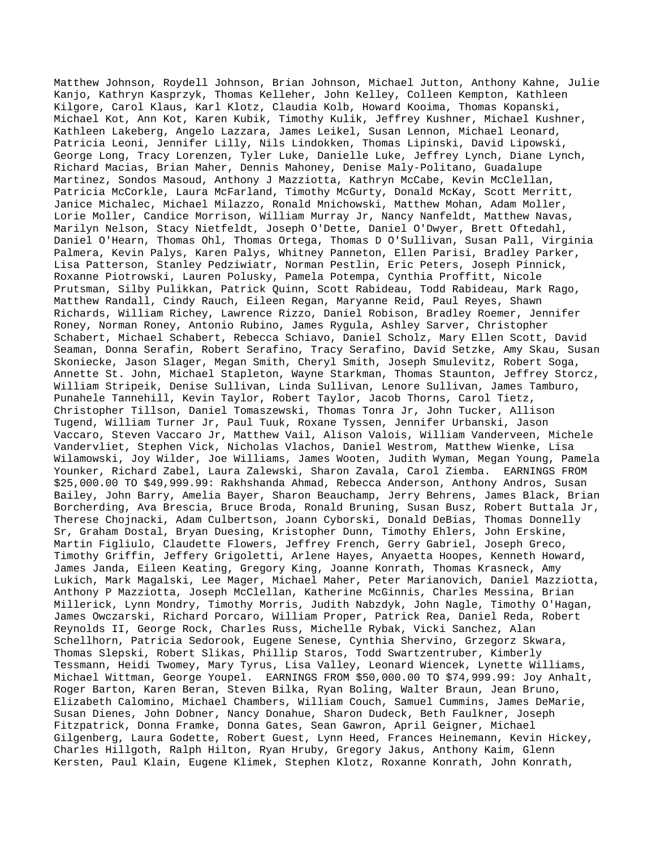Matthew Johnson, Roydell Johnson, Brian Johnson, Michael Jutton, Anthony Kahne, Julie Kanjo, Kathryn Kasprzyk, Thomas Kelleher, John Kelley, Colleen Kempton, Kathleen Kilgore, Carol Klaus, Karl Klotz, Claudia Kolb, Howard Kooima, Thomas Kopanski, Michael Kot, Ann Kot, Karen Kubik, Timothy Kulik, Jeffrey Kushner, Michael Kushner, Kathleen Lakeberg, Angelo Lazzara, James Leikel, Susan Lennon, Michael Leonard, Patricia Leoni, Jennifer Lilly, Nils Lindokken, Thomas Lipinski, David Lipowski, George Long, Tracy Lorenzen, Tyler Luke, Danielle Luke, Jeffrey Lynch, Diane Lynch, Richard Macias, Brian Maher, Dennis Mahoney, Denise Maly-Politano, Guadalupe Martinez, Sondos Masoud, Anthony J Mazziotta, Kathryn McCabe, Kevin McClellan, Patricia McCorkle, Laura McFarland, Timothy McGurty, Donald McKay, Scott Merritt, Janice Michalec, Michael Milazzo, Ronald Mnichowski, Matthew Mohan, Adam Moller, Lorie Moller, Candice Morrison, William Murray Jr, Nancy Nanfeldt, Matthew Navas, Marilyn Nelson, Stacy Nietfeldt, Joseph O'Dette, Daniel O'Dwyer, Brett Oftedahl, Daniel O'Hearn, Thomas Ohl, Thomas Ortega, Thomas D O'Sullivan, Susan Pall, Virginia Palmera, Kevin Palys, Karen Palys, Whitney Panneton, Ellen Parisi, Bradley Parker, Lisa Patterson, Stanley Pedziwiatr, Norman Pestlin, Eric Peters, Joseph Pinnick, Roxanne Piotrowski, Lauren Polusky, Pamela Potempa, Cynthia Proffitt, Nicole Prutsman, Silby Pulikkan, Patrick Quinn, Scott Rabideau, Todd Rabideau, Mark Rago, Matthew Randall, Cindy Rauch, Eileen Regan, Maryanne Reid, Paul Reyes, Shawn Richards, William Richey, Lawrence Rizzo, Daniel Robison, Bradley Roemer, Jennifer Roney, Norman Roney, Antonio Rubino, James Rygula, Ashley Sarver, Christopher Schabert, Michael Schabert, Rebecca Schiavo, Daniel Scholz, Mary Ellen Scott, David Seaman, Donna Serafin, Robert Serafino, Tracy Serafino, David Setzke, Amy Skau, Susan Skoniecke, Jason Slager, Megan Smith, Cheryl Smith, Joseph Smulevitz, Robert Soga, Annette St. John, Michael Stapleton, Wayne Starkman, Thomas Staunton, Jeffrey Storcz, William Stripeik, Denise Sullivan, Linda Sullivan, Lenore Sullivan, James Tamburo, Punahele Tannehill, Kevin Taylor, Robert Taylor, Jacob Thorns, Carol Tietz, Christopher Tillson, Daniel Tomaszewski, Thomas Tonra Jr, John Tucker, Allison Tugend, William Turner Jr, Paul Tuuk, Roxane Tyssen, Jennifer Urbanski, Jason Vaccaro, Steven Vaccaro Jr, Matthew Vail, Alison Valois, William Vanderveen, Michele Vandervliet, Stephen Vick, Nicholas Vlachos, Daniel Westrom, Matthew Wienke, Lisa Wilamowski, Joy Wilder, Joe Williams, James Wooten, Judith Wyman, Megan Young, Pamela Younker, Richard Zabel, Laura Zalewski, Sharon Zavala, Carol Ziemba. EARNINGS FROM \$25,000.00 TO \$49,999.99: Rakhshanda Ahmad, Rebecca Anderson, Anthony Andros, Susan Bailey, John Barry, Amelia Bayer, Sharon Beauchamp, Jerry Behrens, James Black, Brian Borcherding, Ava Brescia, Bruce Broda, Ronald Bruning, Susan Busz, Robert Buttala Jr, Therese Chojnacki, Adam Culbertson, Joann Cyborski, Donald DeBias, Thomas Donnelly Sr, Graham Dostal, Bryan Duesing, Kristopher Dunn, Timothy Ehlers, John Erskine, Martin Figliulo, Claudette Flowers, Jeffrey French, Gerry Gabriel, Joseph Greco, Timothy Griffin, Jeffery Grigoletti, Arlene Hayes, Anyaetta Hoopes, Kenneth Howard, James Janda, Eileen Keating, Gregory King, Joanne Konrath, Thomas Krasneck, Amy Lukich, Mark Magalski, Lee Mager, Michael Maher, Peter Marianovich, Daniel Mazziotta, Anthony P Mazziotta, Joseph McClellan, Katherine McGinnis, Charles Messina, Brian Millerick, Lynn Mondry, Timothy Morris, Judith Nabzdyk, John Nagle, Timothy O'Hagan, James Owczarski, Richard Porcaro, William Proper, Patrick Rea, Daniel Reda, Robert Reynolds II, George Rock, Charles Russ, Michelle Rybak, Vicki Sanchez, Alan Schellhorn, Patricia Sedorook, Eugene Senese, Cynthia Shervino, Grzegorz Skwara, Thomas Slepski, Robert Slikas, Phillip Staros, Todd Swartzentruber, Kimberly Tessmann, Heidi Twomey, Mary Tyrus, Lisa Valley, Leonard Wiencek, Lynette Williams, Michael Wittman, George Youpel. EARNINGS FROM \$50,000.00 TO \$74,999.99: Joy Anhalt, Roger Barton, Karen Beran, Steven Bilka, Ryan Boling, Walter Braun, Jean Bruno, Elizabeth Calomino, Michael Chambers, William Couch, Samuel Cummins, James DeMarie, Susan Dienes, John Dobner, Nancy Donahue, Sharon Dudeck, Beth Faulkner, Joseph Fitzpatrick, Donna Framke, Donna Gates, Sean Gawron, April Geigner, Michael Gilgenberg, Laura Godette, Robert Guest, Lynn Heed, Frances Heinemann, Kevin Hickey, Charles Hillgoth, Ralph Hilton, Ryan Hruby, Gregory Jakus, Anthony Kaim, Glenn Kersten, Paul Klain, Eugene Klimek, Stephen Klotz, Roxanne Konrath, John Konrath,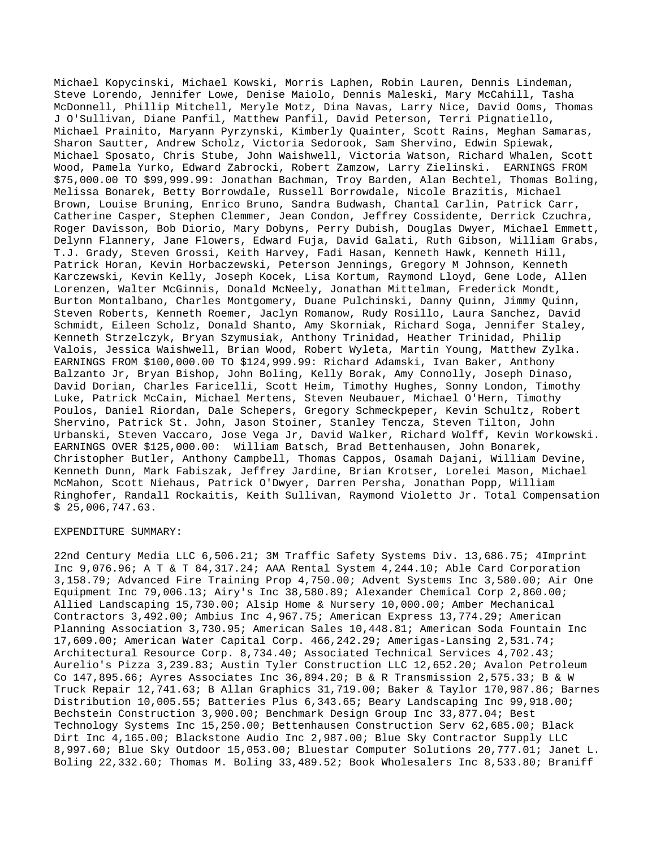Michael Kopycinski, Michael Kowski, Morris Laphen, Robin Lauren, Dennis Lindeman, Steve Lorendo, Jennifer Lowe, Denise Maiolo, Dennis Maleski, Mary McCahill, Tasha McDonnell, Phillip Mitchell, Meryle Motz, Dina Navas, Larry Nice, David Ooms, Thomas J O'Sullivan, Diane Panfil, Matthew Panfil, David Peterson, Terri Pignatiello, Michael Prainito, Maryann Pyrzynski, Kimberly Quainter, Scott Rains, Meghan Samaras, Sharon Sautter, Andrew Scholz, Victoria Sedorook, Sam Shervino, Edwin Spiewak, Michael Sposato, Chris Stube, John Waishwell, Victoria Watson, Richard Whalen, Scott Wood, Pamela Yurko, Edward Zabrocki, Robert Zamzow, Larry Zielinski. EARNINGS FROM \$75,000.00 TO \$99,999.99: Jonathan Bachman, Troy Barden, Alan Bechtel, Thomas Boling, Melissa Bonarek, Betty Borrowdale, Russell Borrowdale, Nicole Brazitis, Michael Brown, Louise Bruning, Enrico Bruno, Sandra Budwash, Chantal Carlin, Patrick Carr, Catherine Casper, Stephen Clemmer, Jean Condon, Jeffrey Cossidente, Derrick Czuchra, Roger Davisson, Bob Diorio, Mary Dobyns, Perry Dubish, Douglas Dwyer, Michael Emmett, Delynn Flannery, Jane Flowers, Edward Fuja, David Galati, Ruth Gibson, William Grabs, T.J. Grady, Steven Grossi, Keith Harvey, Fadi Hasan, Kenneth Hawk, Kenneth Hill, Patrick Horan, Kevin Horbaczewski, Peterson Jennings, Gregory M Johnson, Kenneth Karczewski, Kevin Kelly, Joseph Kocek, Lisa Kortum, Raymond Lloyd, Gene Lode, Allen Lorenzen, Walter McGinnis, Donald McNeely, Jonathan Mittelman, Frederick Mondt, Burton Montalbano, Charles Montgomery, Duane Pulchinski, Danny Quinn, Jimmy Quinn, Steven Roberts, Kenneth Roemer, Jaclyn Romanow, Rudy Rosillo, Laura Sanchez, David Schmidt, Eileen Scholz, Donald Shanto, Amy Skorniak, Richard Soga, Jennifer Staley, Kenneth Strzelczyk, Bryan Szymusiak, Anthony Trinidad, Heather Trinidad, Philip Valois, Jessica Waishwell, Brian Wood, Robert Wyleta, Martin Young, Matthew Zylka. EARNINGS FROM \$100,000.00 TO \$124,999.99: Richard Adamski, Ivan Baker, Anthony Balzanto Jr, Bryan Bishop, John Boling, Kelly Borak, Amy Connolly, Joseph Dinaso, David Dorian, Charles Faricelli, Scott Heim, Timothy Hughes, Sonny London, Timothy Luke, Patrick McCain, Michael Mertens, Steven Neubauer, Michael O'Hern, Timothy Poulos, Daniel Riordan, Dale Schepers, Gregory Schmeckpeper, Kevin Schultz, Robert Shervino, Patrick St. John, Jason Stoiner, Stanley Tencza, Steven Tilton, John Urbanski, Steven Vaccaro, Jose Vega Jr, David Walker, Richard Wolff, Kevin Workowski. EARNINGS OVER \$125,000.00: William Batsch, Brad Bettenhausen, John Bonarek, Christopher Butler, Anthony Campbell, Thomas Cappos, Osamah Dajani, William Devine, Kenneth Dunn, Mark Fabiszak, Jeffrey Jardine, Brian Krotser, Lorelei Mason, Michael McMahon, Scott Niehaus, Patrick O'Dwyer, Darren Persha, Jonathan Popp, William Ringhofer, Randall Rockaitis, Keith Sullivan, Raymond Violetto Jr. Total Compensation \$ 25,006,747.63.

## EXPENDITURE SUMMARY:

22nd Century Media LLC 6,506.21; 3M Traffic Safety Systems Div. 13,686.75; 4Imprint Inc 9,076.96; A T & T 84,317.24; AAA Rental System 4,244.10; Able Card Corporation 3,158.79; Advanced Fire Training Prop 4,750.00; Advent Systems Inc 3,580.00; Air One Equipment Inc 79,006.13; Airy's Inc 38,580.89; Alexander Chemical Corp 2,860.00; Allied Landscaping 15,730.00; Alsip Home & Nursery 10,000.00; Amber Mechanical Contractors 3,492.00; Ambius Inc 4,967.75; American Express 13,774.29; American Planning Association 3,730.95; American Sales 10,448.81; American Soda Fountain Inc 17,609.00; American Water Capital Corp. 466,242.29; Amerigas-Lansing 2,531.74; Architectural Resource Corp. 8,734.40; Associated Technical Services 4,702.43; Aurelio's Pizza 3,239.83; Austin Tyler Construction LLC 12,652.20; Avalon Petroleum Co 147,895.66; Ayres Associates Inc 36,894.20; B & R Transmission 2,575.33; B & W Truck Repair 12,741.63; B Allan Graphics 31,719.00; Baker & Taylor 170,987.86; Barnes Distribution 10,005.55; Batteries Plus 6,343.65; Beary Landscaping Inc 99,918.00; Bechstein Construction 3,900.00; Benchmark Design Group Inc 33,877.04; Best Technology Systems Inc 15,250.00; Bettenhausen Construction Serv 62,685.00; Black Dirt Inc 4,165.00; Blackstone Audio Inc 2,987.00; Blue Sky Contractor Supply LLC 8,997.60; Blue Sky Outdoor 15,053.00; Bluestar Computer Solutions 20,777.01; Janet L. Boling 22,332.60; Thomas M. Boling 33,489.52; Book Wholesalers Inc 8,533.80; Braniff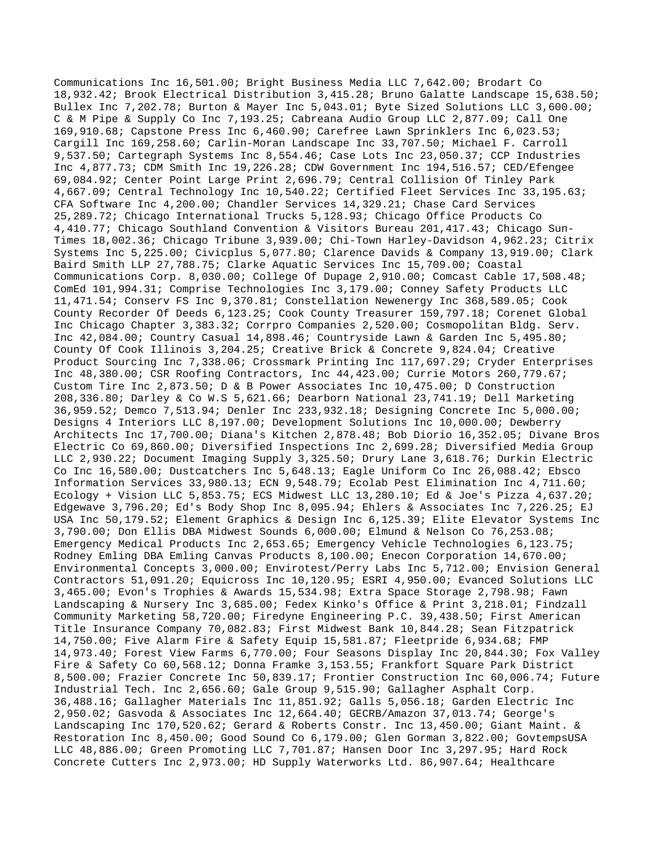Communications Inc 16,501.00; Bright Business Media LLC 7,642.00; Brodart Co 18,932.42; Brook Electrical Distribution 3,415.28; Bruno Galatte Landscape 15,638.50; Bullex Inc 7,202.78; Burton & Mayer Inc 5,043.01; Byte Sized Solutions LLC 3,600.00; C & M Pipe & Supply Co Inc 7,193.25; Cabreana Audio Group LLC 2,877.09; Call One 169,910.68; Capstone Press Inc 6,460.90; Carefree Lawn Sprinklers Inc 6,023.53; Cargill Inc 169,258.60; Carlin-Moran Landscape Inc 33,707.50; Michael F. Carroll 9,537.50; Cartegraph Systems Inc 8,554.46; Case Lots Inc 23,050.37; CCP Industries Inc 4,877.73; CDM Smith Inc 19,226.28; CDW Government Inc 194,516.57; CED/Efengee 69,084.92; Center Point Large Print 2,696.79; Central Collision Of Tinley Park 4,667.09; Central Technology Inc 10,540.22; Certified Fleet Services Inc 33,195.63; CFA Software Inc 4,200.00; Chandler Services 14,329.21; Chase Card Services 25,289.72; Chicago International Trucks 5,128.93; Chicago Office Products Co 4,410.77; Chicago Southland Convention & Visitors Bureau 201,417.43; Chicago Sun-Times 18,002.36; Chicago Tribune 3,939.00; Chi-Town Harley-Davidson 4,962.23; Citrix Systems Inc 5,225.00; Civicplus 5,077.80; Clarence Davids & Company 13,919.00; Clark Baird Smith LLP 27,788.75; Clarke Aquatic Services Inc 15,709.00; Coastal Communications Corp. 8,030.00; College Of Dupage 2,910.00; Comcast Cable 17,508.48; ComEd 101,994.31; Comprise Technologies Inc 3,179.00; Conney Safety Products LLC 11,471.54; Conserv FS Inc 9,370.81; Constellation Newenergy Inc 368,589.05; Cook County Recorder Of Deeds 6,123.25; Cook County Treasurer 159,797.18; Corenet Global Inc Chicago Chapter 3,383.32; Corrpro Companies 2,520.00; Cosmopolitan Bldg. Serv. Inc 42,084.00; Country Casual 14,898.46; Countryside Lawn & Garden Inc 5,495.80; County Of Cook Illinois 3,204.25; Creative Brick & Concrete 9,824.04; Creative Product Sourcing Inc 7,338.06; Crossmark Printing Inc 117,697.29; Cryder Enterprises Inc 48,380.00; CSR Roofing Contractors, Inc 44,423.00; Currie Motors 260,779.67; Custom Tire Inc 2,873.50; D & B Power Associates Inc 10,475.00; D Construction 208,336.80; Darley & Co W.S 5,621.66; Dearborn National 23,741.19; Dell Marketing 36,959.52; Demco 7,513.94; Denler Inc 233,932.18; Designing Concrete Inc 5,000.00; Designs 4 Interiors LLC 8,197.00; Development Solutions Inc 10,000.00; Dewberry Architects Inc 17,700.00; Diana's Kitchen 2,878.48; Bob Diorio 16,352.05; Divane Bros Electric Co 69,860.00; Diversified Inspections Inc 2,699.28; Diversified Media Group LLC 2,930.22; Document Imaging Supply 3,325.50; Drury Lane 3,618.76; Durkin Electric Co Inc 16,580.00; Dustcatchers Inc 5,648.13; Eagle Uniform Co Inc 26,088.42; Ebsco Information Services 33,980.13; ECN 9,548.79; Ecolab Pest Elimination Inc 4,711.60; Ecology + Vision LLC 5,853.75; ECS Midwest LLC 13,280.10; Ed & Joe's Pizza 4,637.20; Edgewave 3,796.20; Ed's Body Shop Inc 8,095.94; Ehlers & Associates Inc 7,226.25; EJ USA Inc 50,179.52; Element Graphics & Design Inc 6,125.39; Elite Elevator Systems Inc 3,790.00; Don Ellis DBA Midwest Sounds 6,000.00; Elmund & Nelson Co 76,253.08; Emergency Medical Products Inc 2,653.65; Emergency Vehicle Technologies 6,123.75; Rodney Emling DBA Emling Canvas Products 8,100.00; Enecon Corporation 14,670.00; Environmental Concepts 3,000.00; Envirotest/Perry Labs Inc 5,712.00; Envision General Contractors 51,091.20; Equicross Inc 10,120.95; ESRI 4,950.00; Evanced Solutions LLC 3,465.00; Evon's Trophies & Awards 15,534.98; Extra Space Storage 2,798.98; Fawn Landscaping & Nursery Inc 3,685.00; Fedex Kinko's Office & Print 3,218.01; Findzall Community Marketing 58,720.00; Firedyne Engineering P.C. 39,438.50; First American Title Insurance Company 70,082.83; First Midwest Bank 10,844.28; Sean Fitzpatrick 14,750.00; Five Alarm Fire & Safety Equip 15,581.87; Fleetpride 6,934.68; FMP 14,973.40; Forest View Farms 6,770.00; Four Seasons Display Inc 20,844.30; Fox Valley Fire & Safety Co 60,568.12; Donna Framke 3,153.55; Frankfort Square Park District 8,500.00; Frazier Concrete Inc 50,839.17; Frontier Construction Inc 60,006.74; Future Industrial Tech. Inc 2,656.60; Gale Group 9,515.90; Gallagher Asphalt Corp. 36,488.16; Gallagher Materials Inc 11,851.92; Galls 5,056.18; Garden Electric Inc 2,950.02; Gasvoda & Associates Inc 12,664.40; GECRB/Amazon 37,013.74; George's Landscaping Inc 170,520.62; Gerard & Roberts Constr. Inc 13,450.00; Giant Maint. & Restoration Inc 8,450.00; Good Sound Co 6,179.00; Glen Gorman 3,822.00; GovtempsUSA LLC 48,886.00; Green Promoting LLC 7,701.87; Hansen Door Inc 3,297.95; Hard Rock Concrete Cutters Inc 2,973.00; HD Supply Waterworks Ltd. 86,907.64; Healthcare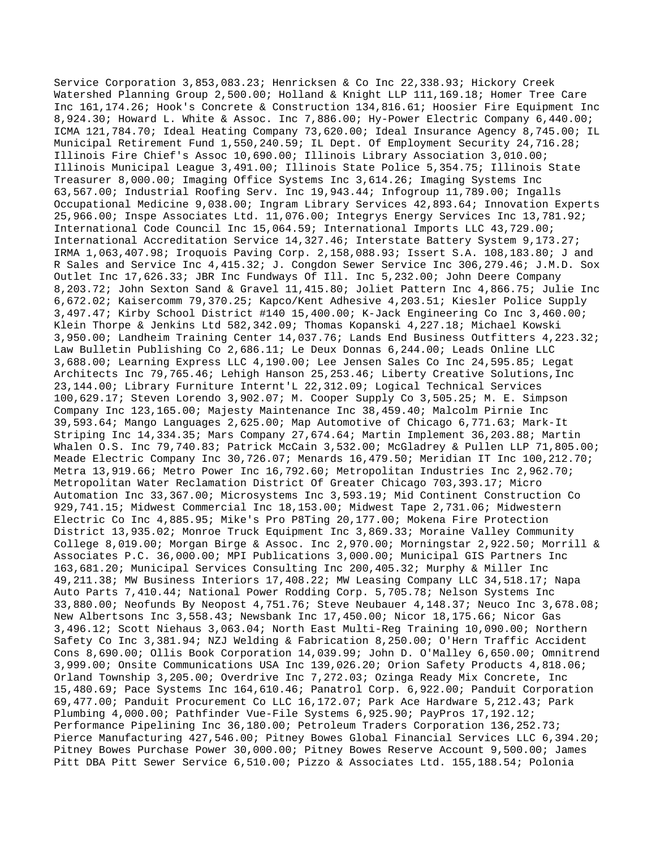Service Corporation 3,853,083.23; Henricksen & Co Inc 22,338.93; Hickory Creek Watershed Planning Group 2,500.00; Holland & Knight LLP 111,169.18; Homer Tree Care Inc 161,174.26; Hook's Concrete & Construction 134,816.61; Hoosier Fire Equipment Inc 8,924.30; Howard L. White & Assoc. Inc 7,886.00; Hy-Power Electric Company 6,440.00; ICMA 121,784.70; Ideal Heating Company 73,620.00; Ideal Insurance Agency 8,745.00; IL Municipal Retirement Fund 1,550,240.59; IL Dept. Of Employment Security 24,716.28; Illinois Fire Chief's Assoc 10,690.00; Illinois Library Association 3,010.00; Illinois Municipal League 3,491.00; Illinois State Police 5,354.75; Illinois State Treasurer 8,000.00; Imaging Office Systems Inc 3,614.26; Imaging Systems Inc 63,567.00; Industrial Roofing Serv. Inc 19,943.44; Infogroup 11,789.00; Ingalls Occupational Medicine 9,038.00; Ingram Library Services 42,893.64; Innovation Experts 25,966.00; Inspe Associates Ltd. 11,076.00; Integrys Energy Services Inc 13,781.92; International Code Council Inc 15,064.59; International Imports LLC 43,729.00; International Accreditation Service 14,327.46; Interstate Battery System 9,173.27; IRMA 1,063,407.98; Iroquois Paving Corp. 2,158,088.93; Issert S.A. 108,183.80; J and R Sales and Service Inc 4,415.32; J. Congdon Sewer Service Inc 306,279.46; J.M.D. Sox Outlet Inc 17,626.33; JBR Inc Fundways Of Ill. Inc 5,232.00; John Deere Company 8,203.72; John Sexton Sand & Gravel 11,415.80; Joliet Pattern Inc 4,866.75; Julie Inc 6,672.02; Kaisercomm 79,370.25; Kapco/Kent Adhesive 4,203.51; Kiesler Police Supply 3,497.47; Kirby School District #140 15,400.00; K-Jack Engineering Co Inc 3,460.00; Klein Thorpe & Jenkins Ltd 582,342.09; Thomas Kopanski 4,227.18; Michael Kowski 3,950.00; Landheim Training Center 14,037.76; Lands End Business Outfitters 4,223.32; Law Bulletin Publishing Co 2,686.11; Le Deux Donnas 6,244.00; Leads Online LLC 3,688.00; Learning Express LLC 4,190.00; Lee Jensen Sales Co Inc 24,595.85; Legat Architects Inc 79,765.46; Lehigh Hanson 25,253.46; Liberty Creative Solutions,Inc 23,144.00; Library Furniture Internt'L 22,312.09; Logical Technical Services 100,629.17; Steven Lorendo 3,902.07; M. Cooper Supply Co 3,505.25; M. E. Simpson Company Inc 123,165.00; Majesty Maintenance Inc 38,459.40; Malcolm Pirnie Inc 39,593.64; Mango Languages 2,625.00; Map Automotive of Chicago 6,771.63; Mark-It Striping Inc 14,334.35; Mars Company 27,674.64; Martin Implement 36,203.88; Martin Whalen O.S. Inc 79,740.83; Patrick McCain 3,532.00; McGladrey & Pullen LLP 71,805.00; Meade Electric Company Inc 30,726.07; Menards 16,479.50; Meridian IT Inc 100,212.70; Metra 13,919.66; Metro Power Inc 16,792.60; Metropolitan Industries Inc 2,962.70; Metropolitan Water Reclamation District Of Greater Chicago 703,393.17; Micro Automation Inc 33,367.00; Microsystems Inc 3,593.19; Mid Continent Construction Co 929,741.15; Midwest Commercial Inc 18,153.00; Midwest Tape 2,731.06; Midwestern Electric Co Inc 4,885.95; Mike's Pro P8Ting 20,177.00; Mokena Fire Protection District 13,935.02; Monroe Truck Equipment Inc 3,869.33; Moraine Valley Community College 8,019.00; Morgan Birge & Assoc. Inc 2,970.00; Morningstar 2,922.50; Morrill & Associates P.C. 36,000.00; MPI Publications 3,000.00; Municipal GIS Partners Inc 163,681.20; Municipal Services Consulting Inc 200,405.32; Murphy & Miller Inc 49,211.38; MW Business Interiors 17,408.22; MW Leasing Company LLC 34,518.17; Napa Auto Parts 7,410.44; National Power Rodding Corp. 5,705.78; Nelson Systems Inc 33,880.00; Neofunds By Neopost 4,751.76; Steve Neubauer 4,148.37; Neuco Inc 3,678.08; New Albertsons Inc 3,558.43; Newsbank Inc 17,450.00; Nicor 18,175.66; Nicor Gas 3,496.12; Scott Niehaus 3,063.04; North East Multi-Reg Training 10,090.00; Northern Safety Co Inc 3,381.94; NZJ Welding & Fabrication 8,250.00; O'Hern Traffic Accident Cons 8,690.00; Ollis Book Corporation 14,039.99; John D. O'Malley 6,650.00; Omnitrend 3,999.00; Onsite Communications USA Inc 139,026.20; Orion Safety Products 4,818.06; Orland Township 3,205.00; Overdrive Inc 7,272.03; Ozinga Ready Mix Concrete, Inc 15,480.69; Pace Systems Inc 164,610.46; Panatrol Corp. 6,922.00; Panduit Corporation 69,477.00; Panduit Procurement Co LLC 16,172.07; Park Ace Hardware 5,212.43; Park Plumbing 4,000.00; Pathfinder Vue-File Systems 6,925.90; PayPros 17,192.12; Performance Pipelining Inc 36,180.00; Petroleum Traders Corporation 136,252.73; Pierce Manufacturing 427,546.00; Pitney Bowes Global Financial Services LLC 6,394.20; Pitney Bowes Purchase Power 30,000.00; Pitney Bowes Reserve Account 9,500.00; James Pitt DBA Pitt Sewer Service 6,510.00; Pizzo & Associates Ltd. 155,188.54; Polonia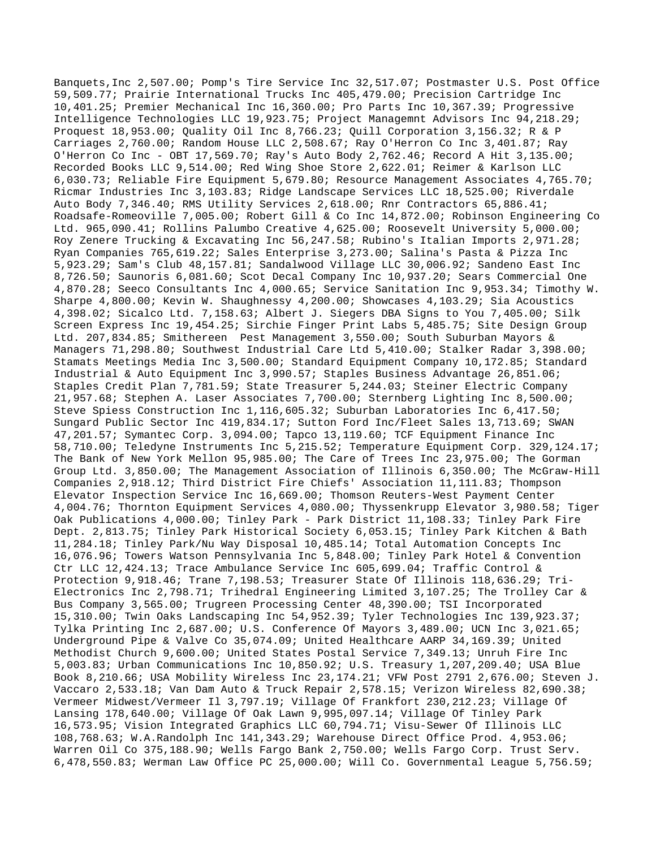Banquets,Inc 2,507.00; Pomp's Tire Service Inc 32,517.07; Postmaster U.S. Post Office 59,509.77; Prairie International Trucks Inc 405,479.00; Precision Cartridge Inc 10,401.25; Premier Mechanical Inc 16,360.00; Pro Parts Inc 10,367.39; Progressive Intelligence Technologies LLC 19,923.75; Project Managemnt Advisors Inc 94,218.29; Proquest 18,953.00; Quality Oil Inc 8,766.23; Quill Corporation 3,156.32; R & P Carriages 2,760.00; Random House LLC 2,508.67; Ray O'Herron Co Inc 3,401.87; Ray O'Herron Co Inc - OBT 17,569.70; Ray's Auto Body 2,762.46; Record A Hit 3,135.00; Recorded Books LLC 9,514.00; Red Wing Shoe Store 2,622.01; Reimer & Karlson LLC 6,030.73; Reliable Fire Equipment 5,679.80; Resource Management Associates 4,765.70; Ricmar Industries Inc 3,103.83; Ridge Landscape Services LLC 18,525.00; Riverdale Auto Body 7,346.40; RMS Utility Services 2,618.00; Rnr Contractors 65,886.41; Roadsafe-Romeoville 7,005.00; Robert Gill & Co Inc 14,872.00; Robinson Engineering Co Ltd. 965,090.41; Rollins Palumbo Creative 4,625.00; Roosevelt University 5,000.00; Roy Zenere Trucking & Excavating Inc 56,247.58; Rubino's Italian Imports 2,971.28; Ryan Companies 765,619.22; Sales Enterprise 3,273.00; Salina's Pasta & Pizza Inc 5,923.29; Sam's Club 48,157.81; Sandalwood Village LLC 30,006.92; Sandeno East Inc 8,726.50; Saunoris 6,081.60; Scot Decal Company Inc 10,937.20; Sears Commercial One 4,870.28; Seeco Consultants Inc 4,000.65; Service Sanitation Inc 9,953.34; Timothy W. Sharpe 4,800.00; Kevin W. Shaughnessy 4,200.00; Showcases 4,103.29; Sia Acoustics 4,398.02; Sicalco Ltd. 7,158.63; Albert J. Siegers DBA Signs to You 7,405.00; Silk Screen Express Inc 19,454.25; Sirchie Finger Print Labs 5,485.75; Site Design Group Ltd. 207,834.85; Smithereen Pest Management 3,550.00; South Suburban Mayors & Managers 71,298.80; Southwest Industrial Care Ltd 5,410.00; Stalker Radar 3,398.00; Stamats Meetings Media Inc 3,500.00; Standard Equipment Company 10,172.85; Standard Industrial & Auto Equipment Inc 3,990.57; Staples Business Advantage 26,851.06; Staples Credit Plan 7,781.59; State Treasurer 5,244.03; Steiner Electric Company 21,957.68; Stephen A. Laser Associates 7,700.00; Sternberg Lighting Inc 8,500.00; Steve Spiess Construction Inc 1,116,605.32; Suburban Laboratories Inc 6,417.50; Sungard Public Sector Inc 419,834.17; Sutton Ford Inc/Fleet Sales 13,713.69; SWAN 47,201.57; Symantec Corp. 3,094.00; Tapco 13,119.60; TCF Equipment Finance Inc 58,710.00; Teledyne Instruments Inc 5,215.52; Temperature Equipment Corp. 329,124.17; The Bank of New York Mellon 95,985.00; The Care of Trees Inc 23,975.00; The Gorman Group Ltd. 3,850.00; The Management Association of Illinois 6,350.00; The McGraw-Hill Companies 2,918.12; Third District Fire Chiefs' Association 11,111.83; Thompson Elevator Inspection Service Inc 16,669.00; Thomson Reuters-West Payment Center 4,004.76; Thornton Equipment Services 4,080.00; Thyssenkrupp Elevator 3,980.58; Tiger Oak Publications 4,000.00; Tinley Park - Park District 11,108.33; Tinley Park Fire Dept. 2,813.75; Tinley Park Historical Society 6,053.15; Tinley Park Kitchen & Bath 11,284.18; Tinley Park/Nu Way Disposal 10,485.14; Total Automation Concepts Inc 16,076.96; Towers Watson Pennsylvania Inc 5,848.00; Tinley Park Hotel & Convention Ctr LLC 12,424.13; Trace Ambulance Service Inc 605,699.04; Traffic Control & Protection 9,918.46; Trane 7,198.53; Treasurer State Of Illinois 118,636.29; Tri-Electronics Inc 2,798.71; Trihedral Engineering Limited 3,107.25; The Trolley Car & Bus Company 3,565.00; Trugreen Processing Center 48,390.00; TSI Incorporated 15,310.00; Twin Oaks Landscaping Inc 54,952.39; Tyler Technologies Inc 139,923.37; Tylka Printing Inc 2,687.00; U.S. Conference Of Mayors 3,489.00; UCN Inc 3,021.65; Underground Pipe & Valve Co 35,074.09; United Healthcare AARP 34,169.39; United Methodist Church 9,600.00; United States Postal Service 7,349.13; Unruh Fire Inc 5,003.83; Urban Communications Inc 10,850.92; U.S. Treasury 1,207,209.40; USA Blue Book 8,210.66; USA Mobility Wireless Inc 23,174.21; VFW Post 2791 2,676.00; Steven J. Vaccaro 2,533.18; Van Dam Auto & Truck Repair 2,578.15; Verizon Wireless 82,690.38; Vermeer Midwest/Vermeer Il 3,797.19; Village Of Frankfort 230,212.23; Village Of Lansing 178,640.00; Village Of Oak Lawn 9,995,097.14; Village Of Tinley Park 16,573.95; Vision Integrated Graphics LLC 60,794.71; Visu-Sewer Of Illinois LLC 108,768.63; W.A.Randolph Inc 141,343.29; Warehouse Direct Office Prod. 4,953.06; Warren Oil Co 375,188.90; Wells Fargo Bank 2,750.00; Wells Fargo Corp. Trust Serv. 6,478,550.83; Werman Law Office PC 25,000.00; Will Co. Governmental League 5,756.59;